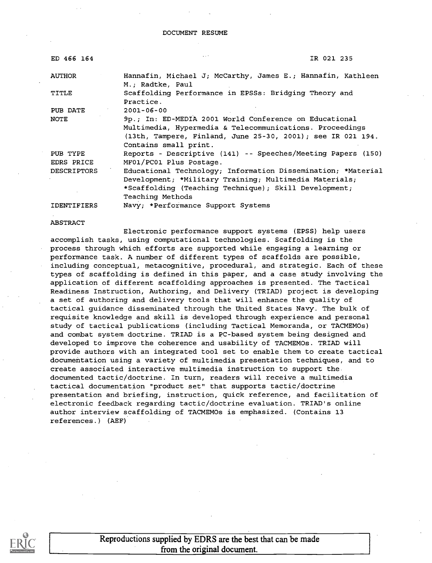# DOCUMENT RESUME

| ED 466 164         | IR 021 235                                                                      |
|--------------------|---------------------------------------------------------------------------------|
| <b>AUTHOR</b>      | Hannafin, Michael J; McCarthy, James E.; Hannafin, Kathleen<br>M.; Radtke, Paul |
| TITLE              | Scaffolding Performance in EPSSs: Bridging Theory and<br>Practice.              |
| PUB DATE           | $2001 - 06 - 00$                                                                |
| <b>NOTE</b>        | 9p.; In: ED-MEDIA 2001 World Conference on Educational                          |
|                    | Multimedia, Hypermedia & Telecommunications. Proceedings                        |
|                    | (13th, Tampere, Finland, June 25-30, 2001); see IR 021 194.                     |
|                    | Contains small print.                                                           |
| PUB TYPE           | Reports - Descriptive (141) -- Speeches/Meeting Papers (150)                    |
| EDRS PRICE         | MF01/PC01 Plus Postage.                                                         |
| <b>DESCRIPTORS</b> | Educational Technology; Information Dissemination; *Material                    |
|                    | Development; *Military Training; Multimedia Materials;                          |
|                    | *Scaffolding (Teaching Technique); Skill Development;                           |
|                    | Teaching Methods                                                                |
| <b>IDENTIFIERS</b> | Navy; *Performance Support Systems                                              |

ABSTRACT

Electronic performance support systems (EPSS) help users accomplish tasks, using computational technologies. Scaffolding is the process through which efforts are supported while engaging a learning or performance task. A number of different types of scaffolds are possible, including conceptual, metacognitive, procedural, and strategic. Each of these types of scaffolding is defined in this paper, and a case study involving the application of different scaffolding approaches is presented. The Tactical Readiness Instruction, Authoring, and Delivery (TRIAD) project is developing a set of authoring and delivery tools that will enhance the quality of tactical guidance disseminated through the United States Navy. The bulk of requisite knowledge and skill is developed through experience and personal study of tactical publications (including Tactical Memoranda, or TACMEMOs) and combat system doctrine. TRIAD is a PC-based system being designed and developed to improve the coherence and usability of TACMEMOs. TRIAD will provide authors with an integrated tool set to enable them to create tactical documentation using a variety of multimedia presentation techniques, and to create associated interactive multimedia instruction to support the documented tactic/doctrine. In turn, readers will receive a multimedia tactical documentation "product set" that supports tactic/doctrine presentation and briefing, instruction, quick reference, and facilitation of electronic feedback regarding tactic/doctrine evaluation. TRIAD's online author interview scaffolding of TACMEMOs is emphasized. (Contains 13 references.) (AEF)

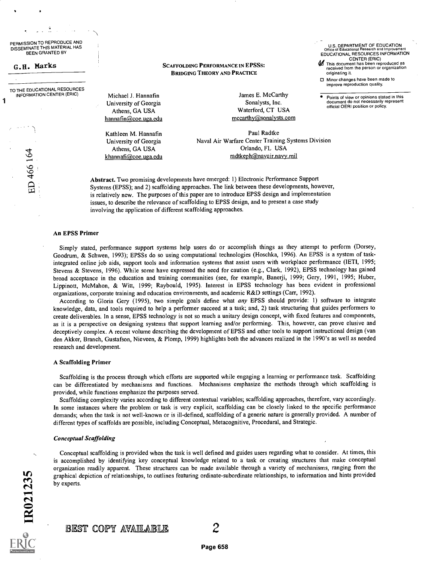PERMISSION TO REPRODUCE AND DISSEMINATE THIS MATERIAL HAS BEEN GRANTED BY

G.H. Marks

ED 466 164

IR021235

1

TO THE EDUCATIONAL RESOURCES<br>INFORMATION CENTER (ERIC) [20] Michael J. Hannafin INFORMATION CENTER (ERIC)

SCAFFOLDING PERFORMANCE IN EPSSs: BRIDGING THEORY AND PRACTICE

University of Georgia Athens, GA USA hannafin@coe.uga.edu

Kathleen M. Hannafin University of Georgia Athens, GA USA khannafi@coe.uga.edu

James E. McCarthy Sonalysts, Inc. Waterford, CT USA mccarthy@sonalysts.com U.S. DEPARTMENT OF EDUCATION Office of Educational Research and Improvement EDUCATIONAL RESOURCES INFORMATION

CENTER (ERIC)<br>This document has been reproduced as<br>received from the person or organization

Points of view or opinions stated in this document do not necessarily represent

Minor changes have been made to improve reproduction quality.

official OERI position or policy.

originating it.

Paul Radtke Naval Air Warfare Center Training Systems Division Orlando, FL USA radtkeph@navair.navy.mil

Abstract. Two promising developments have emerged: 1) Electronic Performance Support Systems (EPSS); and 2) scaffolding approaches. The link between these developments, however, is relatively new. The purposes of this paper are to introduce EPSS design and implementation issues, to describe the relevance of scaffolding to EPSS design, and to present a case study involving the application of different scaffolding approaches.

## An EPSS Primer

Simply stated, performance support systems help users do or accomplish things as they attempt to perform (Dorsey, Goodrum, & Schwen, 1993); EPSSs do so using computational technologies (Hoschka, 1996). An EPSS is a system of taskintegrated online job aids, support tools and information systems that assist users with workplace performance (IETI, 1995; Stevens & Stevens, 1996). While some have expressed the need for caution (e.g., Clark, 1992), EPSS technology has gained broad acceptance in the education and training communities (see, for example, Banerji, 1999; Gery, 1991, 1995; Huber, Lippinott, McMahon, & Witt, 1999; Raybould, 1995). Interest in EPSS technology has been evident in professional organizations, corporate training and education environments, and academic R&D settings (Carr, 1992).

According to Gloria Gery (1995), two simple goals define what any EPSS should provide: 1) software to integrate knowledge, data, and tools required to help a performer succeed at a task; and, 2) task structuring that guides performers to create deliverables. In a sense, EPSS technology is not so much a unitary design concept, with fixed features and components, as it is a perspective on designing systems that support learning and/or performing. This, however, can prove elusive and deceptively complex. A recent volume describing the development of EPSS and other tools to support instructional design (van den Akker, Branch, Gustafson, Nieveen, & Plomp, 1999) highlights both the advances realized in the 1990's as well as needed research and development.

# A Scaffolding Primer

Scaffolding is the process through which efforts are supported while engaging a learning or performance task. Scaffolding can be differentiated by mechanisms and functions. Mechanisms emphasize the methods through which scaffolding is provided, while functions emphasize the purposes served.

Scaffolding complexity varies according to different contextual variables; scaffolding approaches, therefore, vary accordingly. In some instances where the problem or task is very explicit, scaffolding can be closely linked to the specific performance demands; when the task is not well-known or is ill-defined, scaffolding of a generic nature is generally provided. A number of different types of scaffolds are possible, including Conceptual, Metacognitive, Procedural, and Strategic.

#### Conceptual Scaffolding

Conceptual scaffolding is provided when the task is well defined and guides users regarding what to consider. At times, this is accomplished by identifying key conceptual knowledge related to a task or creating structures that make conceptual organization readily apparent. These structures can be made available through a variety of mechanisms, ranging from the graphical depiction of relationships, to outlines featuring ordinate-subordinate relationships, to information and hints provided by experts.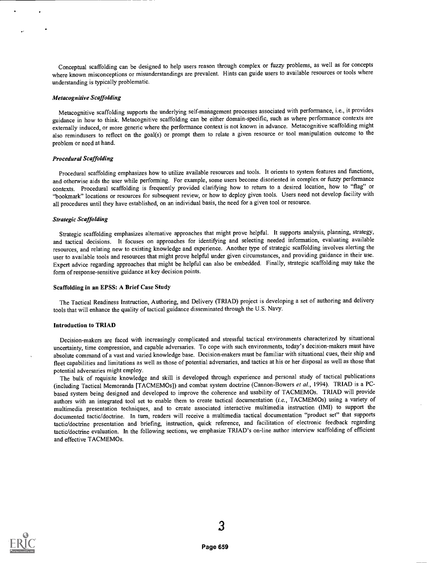Conceptual scaffolding can be designed to help users reason through complex or fuzzy problems, as well as for concepts where known misconceptions or misunderstandings are prevalent. Hints can guide users to available resources or tools where understanding is typically problematic.

#### Metacognitive Scaffolding

Metacognitive scaffolding supports the underlying self-management processes associated with performance, i.e., it provides guidance in how to think. Metacognitive scaffolding can be either domain-specific, such as where performance contexts are externally induced, or more generic where the performance context is not known in advance. Metacognitive scaffolding might also remindusers to reflect on the goal(s) or prompt them to relate a given resource or tool manipulation outcome to the problem or need at hand.

#### Procedural Scaffolding

Procedural scaffolding emphasizes how to utilize available resources and tools. It orients to system features and functions, and otherwise aids the user while performing. For example, some users become disoriented in complex or fuzzy performance contexts. Procedural scaffolding is frequently provided clarifying how to return to a desired location, how to "flag" or "bookmark" locations or resources for subsequent review, or how to deploy given tools. Users need not develop facility with all procedures until they have established, on an individual basis, the need for a given tool or resource.

#### Strategic Scaffolding

Strategic scaffolding emphasizes alternative approaches that might prove helpful. It supports analysis, planning, strategy, and tactical decisions. It focuses on approaches for identifying and selecting needed information, evaluating available resources, and relating new to existing knowledge and experience. Another type of strategic scaffolding involves alerting the user to available tools and resources that might prove helpful under given circumstances, and providing guidance in their use. Expert advice regarding approaches that might be helpful can also be embedded. Finally, strategic scaffolding may take the form of response-sensitive guidance at key decision points.

#### Scaffolding in an EPSS: A Brief Case Study

The Tactical Readiness Instruction, Authoring, and Delivery (TRIAD) project is developing a set of authoring and delivery tools that will enhance the quality of tactical guidance disseminated through the U.S. Navy.

# Introduction to TRIAD

Decision-makers are faced with increasingly complicated and stressful tactical environments characterized by situational uncertainty, time compression, and capable adversaries. To cope with such environments, today's decision-makers must have absolute command of a vast and varied knowledge base. Decision-makers must be familiar with situational cues, their ship and fleet capabilities and limitations as well as those of potential adversaries, and tactics at his or her disposal as well as those that potential adversaries might employ.

The bulk of requisite knowledge and skill is developed through experience and personal study of tactical publications (including Tactical Memoranda [TACMEMOs]) and combat system doctrine (Cannon-Bowers et al., 1994). TRIAD is a PCbased system being designed and developed to improve the coherence and usability of TACMEMOs. TRIAD will provide authors with an integrated tool set to enable them to create tactical documentation (i.e., TACMEMOs) using a variety of multimedia presentation techniques, and to create associated interactive multimedia instruction (IMI) to support the documented tactic/doctrine. In turn, readers will receive a multimedia tactical documentation "product set" that supports tactic/doctrine presentation and briefing, instruction, quick reference, and facilitation of electronic feedback regarding tactic/doctrine evaluation. In the following sections, we emphasize TRIAD's on-line author interview scaffolding of efficient and effective TACMEMOs.

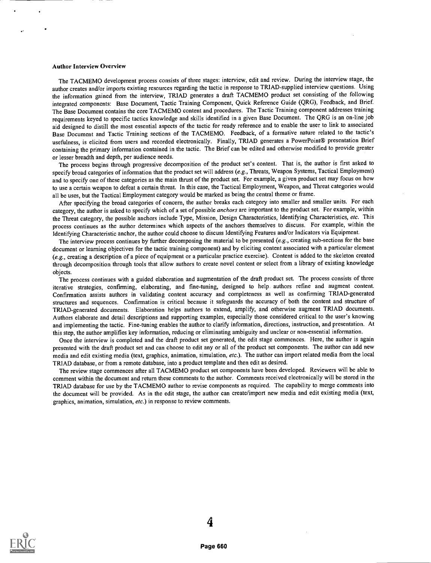#### Author Interview Overview

The TACMEMO development process consists of three stages: interview, edit and review. During the interview stage, the author creates and/or imports existing resources regarding the tactic in response to TRIAD-supplied interview questions. Using the information gained from the interview, TRIAD generates a draft TACMEMO product set consisting of the following integrated components: Base Document, Tactic Training Component, Quick Reference Guide (QRG), Feedback, and Brief. The Base Document contains the core TACMEMO content and procedures. The Tactic Training component addressestraining requirements keyed to specific tactics knowledge and skills identified in a given Base Document. The QRG is an on-line job aid designed to distill the most essential aspects of the tactic for ready reference and to enable the user to link to associated Base Document and Tactic Training sections of the TACMEMO. Feedback, of a formative nature related to the tactic's usefulness, is elicited from users and recorded electronically. Finally, TRIAD generates a PowerPoint® presentation Brief containing the primary information contained in the tactic. The Brief can be edited and otherwise modified to provide greater or lesser breadth and depth, per audience needs.

The process begins through progressive decomposition of the product set's content. That is, the author is first asked to specify broad categories of information that the product set will address (e.g., Threats, Weapon Systems, Tactical Employment) and to specify one of these categories as the main thrust of the product set. For example, a given product set may focus on how to use a certain weapon to defeat a certain threat. In this case, the Tactical Employment, Weapon, and Threat categories would all be uses, but the Tactical Employment category would be marked as being the central theme or frame.

After specifying the broad categories of concern, the author breaks each category into smaller and smaller units. For each category, the author is asked to specify which of a set of possible anchors are important to the product set. Forexample, within the Threat category, the possible anchors include Type, Mission, Design Characteristics, Identifying Characteristics, etc. This process continues as the author determines which aspects of the anchors themselves to discuss. For example, within the Identifying Characteristic anchor, the author could choose to discuss Identifying Features and/or Indicators via Equipment.

The interview process continues by further decomposing the material to be presented (e.g., creating sub-sections for the base document or learning objectives for the tactic training component) and by eliciting content associated with a particular element (e.g., creating a description of a piece of equipment or a particular practice exercise). Content is added to the skeleton created through decomposition through tools that allow authors to create novel content or select from a library of existing knowledge objects.

The process continues with a guided elaboration and augmentation of the draft product set. The process consists of three iterative strategies, confirming, elaborating, and fine-tuning, designed to help authors refine and augment content. Confirmation assists authors in validating content accuracy and completeness as well as confirming TRIAD-generated structures and sequences. Confirmation is critical because it safeguards the accuracy of both the content and structure of TRIAD-generated documents. Elaboration helps authors to extend, amplify, and otherwise augment TRIAD documents. Authors elaborate and detail descriptions and supporting examples, especially those considered critical to the user's knowing and implementing the tactic. Fine-tuning enables the author to clarify information, directions, instruction, and presentation. At this step, the author amplifies key information, reducing or eliminating ambiguity and unclear or non-essential information.

Once the interview is completed and the draft product set generated, the edit stage commences. Here, the author is again presented with the draft product set and can choose to edit any or all of the product set components. The author can add new media and edit existing media (text, graphics, animation, simulation, etc.). The author can import related media from the local TRIAD database, or from a remote database, into a product template and then edit as desired.

The review stage commences after all TACMEMO product set components have been developed. Reviewers will be able to comment within the document and return these comments to the author. Comments received electronically will be stored in the TRIAD database for use by the TACMEMO author to revise components as required. The capability to merge comments into the document will be provided. As in the edit stage, the author can create/import new media and edit existing media (text, graphics, animation, simulation, etc.) in response to review comments.

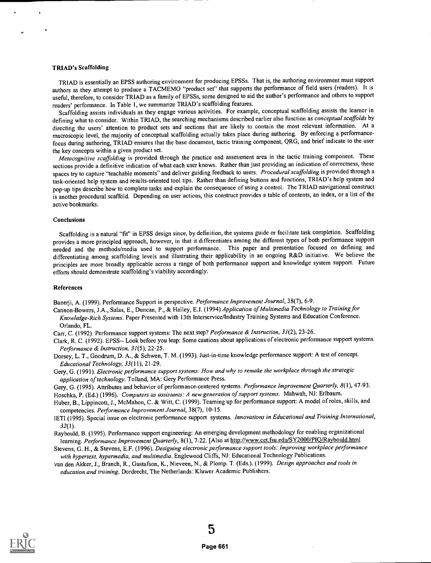### TRIAD's Scaffolding

TRIAD is essentially an EPSS authoring environment for producing EPSSs. That is, the authoring environment must support authors as they attempt to produce a TACMEMO "product set" that supports the performance of field users (readers). It is useful, therefore, to consider TRIAD as a family of EPSSs, some designed to aid the author's performance and others to support readers' performance. In Table 1, we summarize TRIAD's scaffolding features.

Scaffolding assists individuals as they engage various activities. For example, conceptual scaffolding assists the learner in defining what to consider. Within TRIAD, the searching mechanisms described earlier also function as *conceptual scaffolds* by directing the users' attention to product sets and sections that are likely to contain the most relevant information. At a macroscopic level, the majority of conceptual scaffolding actually takes place during authoring. By enforcing a performancefocus during authoring, TRIAD ensures that the base document, tactic training component, QRG, and brief indicate to the user the key concepts within a given product set.

Metacognitive scaffolding is provided through the practice and assessment area in the tactic training component. These sections provide a definitive indication of what each user knows. Rather than just providing an indication of correctness, these spaces try to capture "teachable moments" and deliver guiding feedback to users. Procedural scaffolding is provided through a task-oriented help system and results-oriented tool tips. Rather than defining buttons and functions, TRIAD's help system and pop-up tips describe how to complete tasks and explain the consequence of using a control. The TRIAD navigational construct is another procedural scaffold. Depending on user actions, this construct provides a table of contents, an index, or a list of the active bookmarks.

# Conclusions

Scaffolding is a natural "fit" in EPSS design since, by definition, the systems guide or facilitate task completion. Scaffolding provides a more principled approach, however, in that it differentiates among the different types of both performance support needed and the methods/media used to support performance. This paper and presentation focused on defining and differentiating among scaffolding levels and illustrating their applicability in an ongoing R&D initiative. We believe the principles are more broadly applicable across a range of both performance support and knowledge system support. Future efforts should demonstrate scaffolding's viability accordingly.

## References

Banerji, A. (1999). Performance Support in perspective. Performance Improvement Journal, 38(7), 6-9.

- Cannon-Bowers, J.A., Salas, E., Duncan, P., & Halley, E.J. (1994) Application of Multimedia Technology to Training for Knowledge-Rich Systems. Paper Presented with 13th Interservice/Industry Training Systems and Education Conference. Orlando, FL.
- Carr, C. (1992). Performance support systems: The next step? Performance & Instruction, 31(2), 23-26.

Clark, R. C. (1992). EPSS-- Look before you leap: Some cautions about applications of electronic performance support systems. Performance & Instruction, 31(5), 22-25.

- Dorsey, L. T., Goodrum, D. A., & Schwen, T. M. (1993). Just-in-time knowledge performance support: A test of concept. Educational Technology, 33(11), 21-29.
- Gery, G. (1991). Electronic performance support systems: How and why to remake the workplace through the strategic application of technology. Tolland, MA: Gery Performance Press.

Gery, G. (1995). Attributes and behavior of performance-centered systems. Performance Improvement Quarterly, 8(1), 47-93.

Hoschka, P. (Ed.) (1996). Computers as assistants: A new generation of support systems. Mahwah, NJ: Erlbaum.

- Huber, B., Lippincott, J., McMahon, C. & Witt, C. (1999). Teaming up for performance support: A model of roles, skills, and competencies. Performance Improvement Journal, 38(7), 10-15.
- IETI (1995). Special issue on electronic performance support systems. Innovations in Educational and Training International,  $32(1)$ .
- Raybould, B. (1995). Performance support engineering: An emerging development methodology for enabling organizational learning. Performance Improvement Quarterly, 8(1), 7-22. [Also at http://www.cet.fsu.edu/SY2000/PIQ/Raybould.html
- Stevens, G. H., & Stevens, E.F. (1996). Designing electronic performance support tools: Improving workplace performance with hypertext, hypermedia, and multimedia. Englewood Cliffs, NJ: Educational Technology Publications.
- van den Akker, J., Branch, R., Gustafson, K., Nieveen, N., & Plomp. T. (Eds.). (1999). Design approaches and tools in education and training. Dordrecht, The Netherlands: Kluwer Academic Publishers.

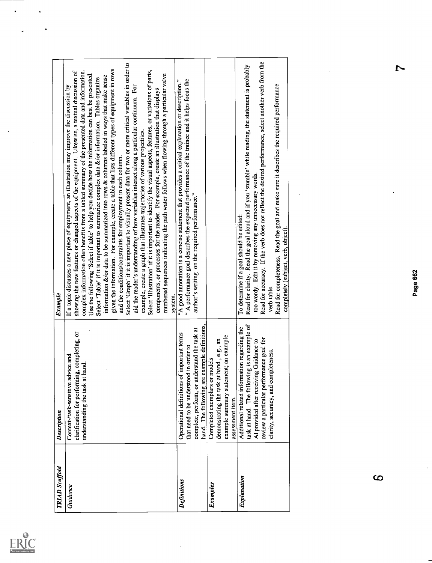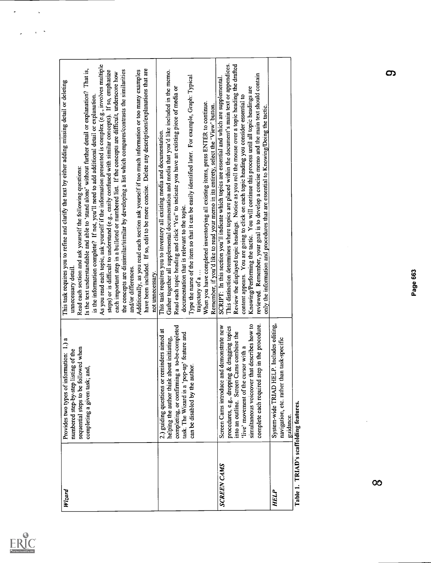| Full Text Provided by ERIC |
|----------------------------|

 $\hat{\mathbf{z}}$ 

 $\ddot{\psi}$ 

| Wizard                                      | Provides two types of information: 1.) a<br>sequential steps to be followed when<br>numbered step-by-step listing of the<br>ដ<br>ជ<br>completing a given task;                                                                                                                       | As you read each topic, ask yourself if the information presented is complex (e.g., involves multiple<br>Is the text understandable and able to 'stand alone' without further detail or explanation? That is,<br>have been included. If so, edit to be more concise. Delete any descriptions/explanations that are<br>the concepts are dissimilar/similar by developing a list which compares/contrasts the similarities<br>steps) or is difficult to understand (e.g., easily confused with similar concepts). If so, emphasize<br>Additionally, as you read each section ask yourself if too much information or too many examples<br>each important step in a bulleted or numbered list. If the concepts are difficult, underscore how<br>This task requires you to refine and clarify the text by either adding missing detail or deleting<br>is the information complete? If not, you'll need to add additional detail or explanation.<br>Read each section and ask yourself the following questions:<br>and/or differences.<br>unnecessary detail<br>not unnecessary. |
|---------------------------------------------|--------------------------------------------------------------------------------------------------------------------------------------------------------------------------------------------------------------------------------------------------------------------------------------|-----------------------------------------------------------------------------------------------------------------------------------------------------------------------------------------------------------------------------------------------------------------------------------------------------------------------------------------------------------------------------------------------------------------------------------------------------------------------------------------------------------------------------------------------------------------------------------------------------------------------------------------------------------------------------------------------------------------------------------------------------------------------------------------------------------------------------------------------------------------------------------------------------------------------------------------------------------------------------------------------------------------------------------------------------------------------------|
|                                             | completing, or confirming a to-be-completed<br>reminders aimed at<br>task. The Wizard is a 'pop-up' feature and<br>about initiating,<br>can be disabled by the author.<br>helping the author think<br>2.) guiding questions or                                                       | Gather together all supplemental documentation and media that you'd like included in the memo.<br>Type the name of the item so that it can be easily identified later. For example, Graph: Typical<br>Read each topic heading and click 'Yes" to indicate you have an existing piece of media or<br>When you have completed inventorying all existing items, press ENTER to continue.<br>Remember, if you'd like to read your memo in its entirety, select the 'View' button.<br>This task requires you to inventory all existing media and documentation.<br>documentation that is relevant to the topic.<br>trajectory of a                                                                                                                                                                                                                                                                                                                                                                                                                                               |
| SCREEN CAMS                                 | simultaneous voiceover that describes how to<br>step in the procedure.<br>and demonstrate new<br>procedures, e.g., dropping & dragging topics<br>into an outline. Screen Cams combine the<br>'live' movement of the cursor with a<br>complete each required<br>Screen Cams introduce | This distinction determines where topics are placed within the document's main text or appendices.<br>Review the displayed topic headings. Notice as you roll the mouse over a topic heading the drafted<br>reviewed. Remember, your goal is to develop a concise memo and the main text should contain<br>SCRIPT: In this section you'll indicate which topics are essential and which are supplemental<br>Knowing/Performing the tactic. You will continue this process until all topic headings are<br>content appears. You are going to click on each topic heading you consider essential to<br>only the information and procedures that are essential to Knowing/Doing the tactic.                                                                                                                                                                                                                                                                                                                                                                                    |
| HELP                                        | System-wide TRIAD HELP. Includes editing,<br>navigation, etc. rather than task-specific<br>guidance.                                                                                                                                                                                 |                                                                                                                                                                                                                                                                                                                                                                                                                                                                                                                                                                                                                                                                                                                                                                                                                                                                                                                                                                                                                                                                             |
| Table 1. TRIAD's scaffolding features.<br>ထ |                                                                                                                                                                                                                                                                                      | <u>က</u><br>Page 663                                                                                                                                                                                                                                                                                                                                                                                                                                                                                                                                                                                                                                                                                                                                                                                                                                                                                                                                                                                                                                                        |